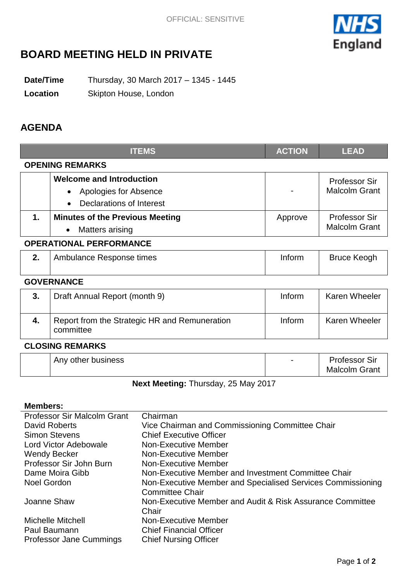

# **BOARD MEETING HELD IN PRIVATE**

**Date/Time** Thursday, 30 March 2017 – 1345 - 1445

**Location** Skipton House, London

## **AGENDA**

|                                | <b>ITEMS</b>                                                                         | <b>ACTION</b> | <b>LEAD</b>                                  |  |
|--------------------------------|--------------------------------------------------------------------------------------|---------------|----------------------------------------------|--|
| <b>OPENING REMARKS</b>         |                                                                                      |               |                                              |  |
|                                | <b>Welcome and Introduction</b><br>Apologies for Absence<br>Declarations of Interest |               | <b>Professor Sir</b><br><b>Malcolm Grant</b> |  |
| 1.                             | <b>Minutes of the Previous Meeting</b><br>Matters arising<br>$\bullet$               | Approve       | Professor Sir<br><b>Malcolm Grant</b>        |  |
| <b>OPERATIONAL PERFORMANCE</b> |                                                                                      |               |                                              |  |
| 2.                             | Ambulance Response times                                                             | Inform        | <b>Bruce Keogh</b>                           |  |
| <b>GOVERNANCE</b>              |                                                                                      |               |                                              |  |

| 3. | Draft Annual Report (month 9)                              | Inform | <b>Karen Wheeler</b> |
|----|------------------------------------------------------------|--------|----------------------|
| 4. | Report from the Strategic HR and Remuneration<br>committee | Inform | <b>Karen Wheeler</b> |

### **CLOSING REMARKS**

| <b>Malcolm Grant</b> |
|----------------------|
|----------------------|

**Next Meeting:** Thursday, 25 May 2017

### **Members:**

| <b>Professor Sir Malcolm Grant</b> | Chairman                                                    |
|------------------------------------|-------------------------------------------------------------|
| David Roberts                      | Vice Chairman and Commissioning Committee Chair             |
| <b>Simon Stevens</b>               | <b>Chief Executive Officer</b>                              |
| Lord Victor Adebowale              | Non-Executive Member                                        |
| <b>Wendy Becker</b>                | Non-Executive Member                                        |
| Professor Sir John Burn            | Non-Executive Member                                        |
| Dame Moira Gibb                    | Non-Executive Member and Investment Committee Chair         |
| <b>Noel Gordon</b>                 | Non-Executive Member and Specialised Services Commissioning |
|                                    | <b>Committee Chair</b>                                      |
| Joanne Shaw                        | Non-Executive Member and Audit & Risk Assurance Committee   |
|                                    | Chair                                                       |
| <b>Michelle Mitchell</b>           | <b>Non-Executive Member</b>                                 |
| Paul Baumann                       | <b>Chief Financial Officer</b>                              |
| Professor Jane Cummings            | <b>Chief Nursing Officer</b>                                |
|                                    |                                                             |